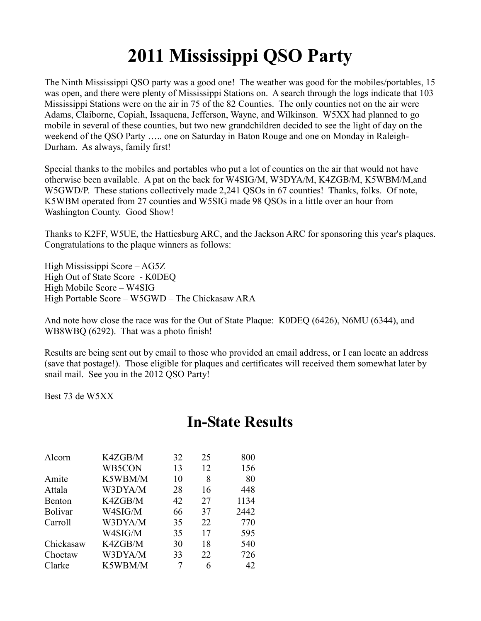## **2011 Mississippi QSO Party**

The Ninth Mississippi QSO party was a good one! The weather was good for the mobiles/portables, 15 was open, and there were plenty of Mississippi Stations on. A search through the logs indicate that 103 Mississippi Stations were on the air in 75 of the 82 Counties. The only counties not on the air were Adams, Claiborne, Copiah, Issaquena, Jefferson, Wayne, and Wilkinson. W5XX had planned to go mobile in several of these counties, but two new grandchildren decided to see the light of day on the weekend of the QSO Party ….. one on Saturday in Baton Rouge and one on Monday in Raleigh-Durham. As always, family first!

Special thanks to the mobiles and portables who put a lot of counties on the air that would not have otherwise been available. A pat on the back for W4SIG/M, W3DYA/M, K4ZGB/M, K5WBM/M,and W5GWD/P. These stations collectively made 2,241 QSOs in 67 counties! Thanks, folks. Of note, K5WBM operated from 27 counties and W5SIG made 98 QSOs in a little over an hour from Washington County. Good Show!

Thanks to K2FF, W5UE, the Hattiesburg ARC, and the Jackson ARC for sponsoring this year's plaques. Congratulations to the plaque winners as follows:

High Mississippi Score – AG5Z High Out of State Score - K0DEQ High Mobile Score – W4SIG High Portable Score – W5GWD – The Chickasaw ARA

And note how close the race was for the Out of State Plaque: K0DEQ (6426), N6MU (6344), and WB8WBQ (6292). That was a photo finish!

Results are being sent out by email to those who provided an email address, or I can locate an address (save that postage!). Those eligible for plaques and certificates will received them somewhat later by snail mail. See you in the 2012 QSO Party!

Best 73 de W5XX

## **In-State Results**

| Alcorn         | K4ZGB/M | 32 | 25 | 800  |
|----------------|---------|----|----|------|
|                | WB5CON  | 13 | 12 | 156  |
| Amite          | K5WBM/M | 10 | 8  | 80   |
| Attala         | W3DYA/M | 28 | 16 | 448  |
| Benton         | K4ZGB/M | 42 | 27 | 1134 |
| <b>Bolivar</b> | W4SIG/M | 66 | 37 | 2442 |
| Carroll        | W3DYA/M | 35 | 22 | 770  |
|                | W4SIG/M | 35 | 17 | 595  |
| Chickasaw      | K4ZGB/M | 30 | 18 | 540  |
| Choctaw        | W3DYA/M | 33 | 22 | 726  |
| Clarke         | K5WBM/M |    | 6  | 42   |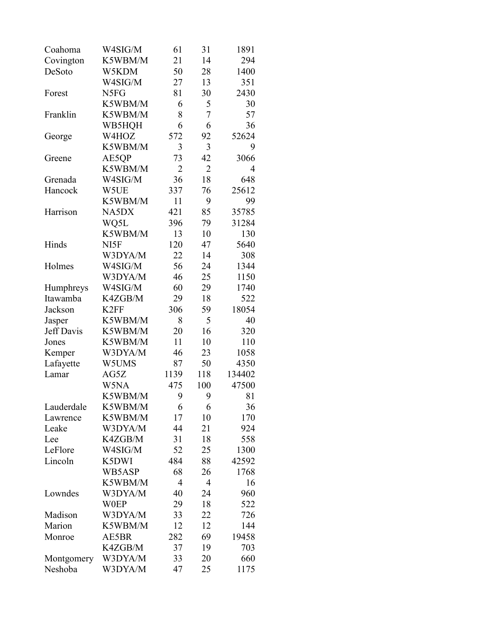| Coahoma    | W4SIG/M          | 61             | 31             | 1891   |
|------------|------------------|----------------|----------------|--------|
| Covington  | K5WBM/M          | 21             | 14             | 294    |
| DeSoto     | W5KDM            | 50             | 28             | 1400   |
|            | W4SIG/M          | 27             | 13             | 351    |
| Forest     | N5FG             | 81             | 30             | 2430   |
|            | K5WBM/M          | 6              | 5              | 30     |
| Franklin   | K5WBM/M          | 8              | $\overline{7}$ | 57     |
|            | WB5HQH           | 6              | 6              | 36     |
| George     | W4HOZ            | 572            | 92             | 52624  |
|            | K5WBM/M          | 3              | 3              | 9      |
| Greene     | AE5QP            | 73             | 42             | 3066   |
|            | K5WBM/M          | $\overline{2}$ | $\overline{2}$ | 4      |
| Grenada    | W4SIG/M          | 36             | 18             | 648    |
| Hancock    | W5UE             | 337            | 76             | 25612  |
|            | K5WBM/M          | 11             | 9              | 99     |
| Harrison   | NA5DX            | 421            | 85             | 35785  |
|            | WQ5L             | 396            | 79             | 31284  |
|            | K5WBM/M          | 13             | 10             | 130    |
| Hinds      | NI5F             | 120            | 47             | 5640   |
|            | W3DYA/M          | 22             | 14             | 308    |
| Holmes     | W4SIG/M          | 56             | 24             | 1344   |
|            | W3DYA/M          | 46             | 25             | 1150   |
| Humphreys  | W4SIG/M          | 60             | 29             | 1740   |
| Itawamba   | K4ZGB/M          | 29             | 18             | 522    |
| Jackson    | K <sub>2FF</sub> | 306            | 59             | 18054  |
| Jasper     | K5WBM/M          | 8              | 5              | 40     |
| Jeff Davis | K5WBM/M          | 20             | 16             | 320    |
| Jones      | K5WBM/M          | 11             | 10             | 110    |
| Kemper     | W3DYA/M          | 46             | 23             | 1058   |
| Lafayette  | W5UMS            | 87             | 50             | 4350   |
| Lamar      | AG5Z             | 1139           | 118            | 134402 |
|            | W5NA             | 475            | 100            | 47500  |
|            | K5WBM/M          | 9              | 9              | 81     |
| Lauderdale | K5WBM/M          | 6              | 6              | 36     |
| Lawrence   | K5WBM/M          | 17             | 10             | 170    |
| Leake      | W3DYA/M          | 44             | 21             | 924    |
| Lee        | K4ZGB/M          | 31             | 18             | 558    |
| LeFlore    | W4SIG/M          | 52             | 25             | 1300   |
| Lincoln    | K5DWI            | 484            | 88             | 42592  |
|            | WB5ASP           | 68             | 26             | 1768   |
|            | K5WBM/M          | 4              | 4              | 16     |
| Lowndes    | W3DYA/M          | 40             | 24             | 960    |
|            | <b>W0EP</b>      | 29             | 18             | 522    |
| Madison    | W3DYA/M          | 33             | 22             | 726    |
| Marion     | K5WBM/M          | 12             | 12             | 144    |
| Monroe     | AE5BR            | 282            | 69             | 19458  |
|            | K4ZGB/M          | 37             | 19             | 703    |
| Montgomery | W3DYA/M          | 33             | 20             | 660    |
| Neshoba    | W3DYA/M          | 47             | 25             | 1175   |
|            |                  |                |                |        |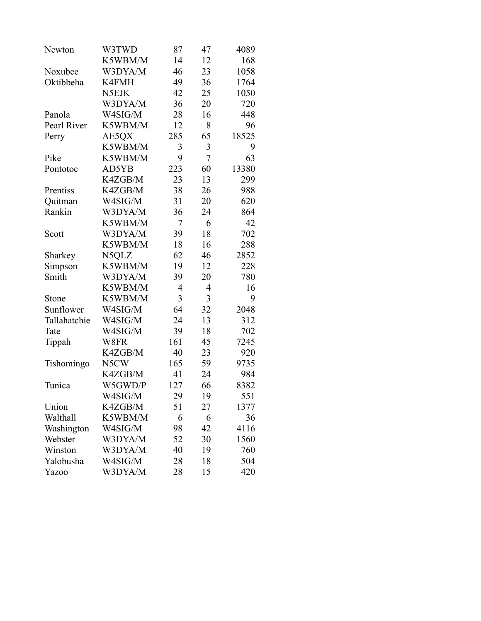| Newton       | W3TWD   | 87             | 47             | 4089  |
|--------------|---------|----------------|----------------|-------|
|              | K5WBM/M | 14             | 12             | 168   |
| Noxubee      | W3DYA/M | 46             | 23             | 1058  |
| Oktibbeha    | K4FMH   | 49             | 36             | 1764  |
|              | N5EJK   | 42             | 25             | 1050  |
|              | W3DYA/M | 36             | 20             | 720   |
| Panola       | W4SIG/M | 28             | 16             | 448   |
| Pearl River  | K5WBM/M | 12             | 8              | 96    |
| Perry        | AE5QX   | 285            | 65             | 18525 |
|              | K5WBM/M | 3              | 3              | 9     |
| Pike         | K5WBM/M | 9              | 7              | 63    |
| Pontotoc     | AD5YB   | 223            | 60             | 13380 |
|              | K4ZGB/M | 23             | 13             | 299   |
| Prentiss     | K4ZGB/M | 38             | 26             | 988   |
| Quitman      | W4SIG/M | 31             | 20             | 620   |
| Rankin       | W3DYA/M | 36             | 24             | 864   |
|              | K5WBM/M | 7              | 6              | 42    |
| Scott        | W3DYA/M | 39             | 18             | 702   |
|              | K5WBM/M | 18             | 16             | 288   |
| Sharkey      | N5QLZ   | 62             | 46             | 2852  |
| Simpson      | K5WBM/M | 19             | 12             | 228   |
| Smith        | W3DYA/M | 39             | 20             | 780   |
|              | K5WBM/M | $\overline{4}$ | $\overline{4}$ | 16    |
| Stone        | K5WBM/M | 3              | 3              | 9     |
| Sunflower    | W4SIG/M | 64             | 32             | 2048  |
| Tallahatchie | W4SIG/M | 24             | 13             | 312   |
| Tate         | W4SIG/M | 39             | 18             | 702   |
| Tippah       | W8FR    | 161            | 45             | 7245  |
|              | K4ZGB/M | 40             | 23             | 920   |
| Tishomingo   | N5CW    | 165            | 59             | 9735  |
|              | K4ZGB/M | 41             | 24             | 984   |
| Tunica       | W5GWD/P | 127            | 66             | 8382  |
|              | W4SIG/M | 29             | 19             | 551   |
| Union        | K4ZGB/M | 51             | 27             | 1377  |
| Walthall     | K5WBM/M | 6              | 6              | 36    |
| Washington   | W4SIG/M | 98             | 42             | 4116  |
| Webster      | W3DYA/M | 52             | 30             | 1560  |
| Winston      | W3DYA/M | 40             | 19             | 760   |
| Yalobusha    | W4SIG/M | 28             | 18             | 504   |
| <b>Yazoo</b> | W3DYA/M | 28             | 15             | 420   |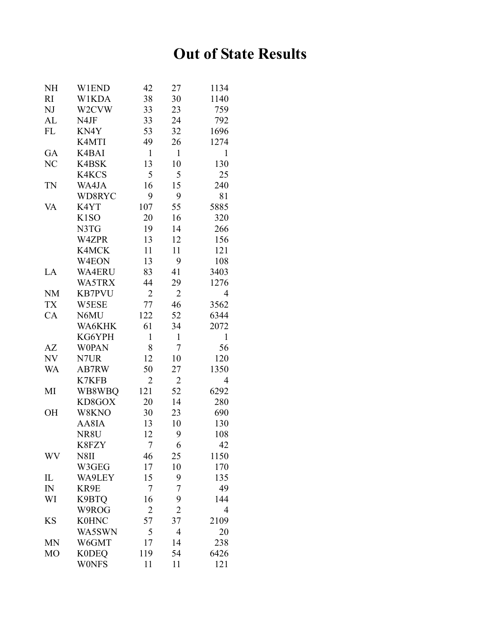## **Out of State Results**

| NH        | <b>W1END</b>      | 42             | 27             | 1134           |
|-----------|-------------------|----------------|----------------|----------------|
| RI        | <b>W1KDA</b>      | 38             | 30             | 1140           |
| NJ        | W2CVW             | 33             | 23             | 759            |
| AL        | N4JF              | 33             | 24             | 792            |
| <b>FL</b> | KN4Y              | 53             | 32             | 1696           |
|           | K4MTI             | 49             | 26             | 1274           |
| GA        | K4BAI             | $\mathbf{1}$   | $\mathbf{1}$   | $\mathbf{1}$   |
| NC        | <b>K4BSK</b>      | 13             | 10             | 130            |
|           | K4KCS             | 5              | 5              | 25             |
| TN        | WA4JA             | 16             | 15             | 240            |
|           | WD8RYC            | 9              | 9              | 81             |
| VA        | K4YT              | 107            | 55             | 5885           |
|           | K <sub>1</sub> SO | 20             | 16             | 320            |
|           | N3TG              | 19             | 14             | 266            |
|           | W4ZPR             | 13             | 12             | 156            |
|           | K4MCK             | 11             | 11             | 121            |
|           | W4EON             | 13             | 9              | 108            |
| LA        | <b>WA4ERU</b>     | 83             | 41             | 3403           |
|           | WA5TRX            | 44             | 29             | 1276           |
| <b>NM</b> | <b>KB7PVU</b>     | $\overline{2}$ | $\overline{2}$ | 4              |
| <b>TX</b> | W5ESE             | 77             | 46             | 3562           |
| CA        | N6MU              | 122            | 52             | 6344           |
|           | WA6KHK            | 61             | 34             | 2072           |
|           | KG6YPH            | 1              | $\mathbf{1}$   | $\mathbf{1}$   |
| AZ        | <b>WOPAN</b>      | 8              | 7              | 56             |
| NV        | N7UR              | 12             | 10             | 120            |
| WA        | AB7RW             | 50             | 27             | 1350           |
|           | K7KFB             | $\overline{2}$ | 2              | 4              |
| MI        | WB8WBQ            | 121            | 52             | 6292           |
|           | KD8GOX            | 20             | 14             | 280            |
| OH        | W8KNO             | 30             | 23             | 690            |
|           | AA8IA             | 13             | 10             | 130            |
|           | NR8U              | 12             | 9              | 108            |
|           | K8FZY             | 7              | 6              | 42             |
| WV        | N8II              | 46             | 25             | 1150           |
|           | W3GEG             | 17             | 10             | 170            |
| IL        | WA9LEY            | 15             | 9              | 135            |
| $I\!N$    | KR9E              | 7              | 7              | 49             |
| WI        | K9BTQ             | 16             | 9              | 144            |
|           | W9ROG             | $\overline{2}$ | $\overline{2}$ | $\overline{4}$ |
| KS        | <b>K0HNC</b>      | 57             | 37             | 2109           |
|           | WA5SWN            | 5              | $\overline{4}$ | 20             |
| MN        | W6GMT             | 17             | 14             | 238            |
| MO        | <b>K0DEQ</b>      | 119            | 54             | 6426           |
|           | <b>WONFS</b>      | 11             | 11             | 121            |